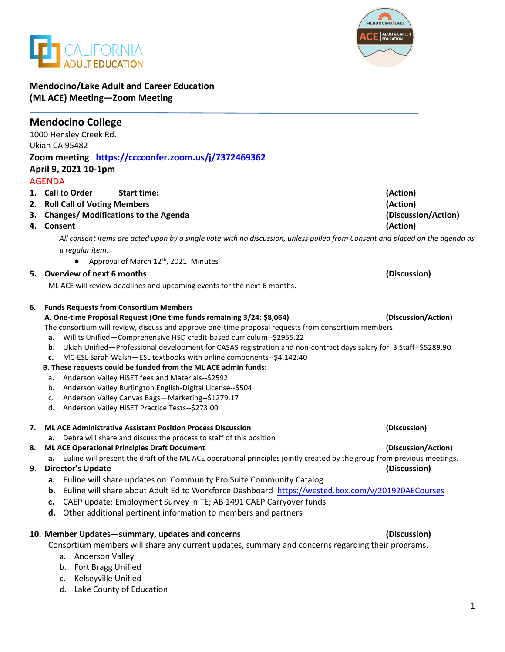



## **Mendocino/Lake Adult and Career Education (ML ACE) Meeting—Zoom Meeting**

| <b>Mendocino College</b>                                                                                                     |                     |
|------------------------------------------------------------------------------------------------------------------------------|---------------------|
| 1000 Hensley Creek Rd.                                                                                                       |                     |
| Ukiah CA 95482                                                                                                               |                     |
| Zoom meeting https://cccconfer.zoom.us/j/7372469362                                                                          |                     |
| April 9, 2021 10-1pm                                                                                                         |                     |
| <b>AGENDA</b>                                                                                                                |                     |
| 1. Call to Order<br><b>Start time:</b>                                                                                       | (Action)            |
| 2. Roll Call of Voting Members                                                                                               | (Action)            |
| 3. Changes/ Modifications to the Agenda                                                                                      | (Discussion/Action) |
| 4. Consent                                                                                                                   | (Action)            |
| All consent items are acted upon by a single vote with no discussion, unless pulled from Consent and placed on the agenda as |                     |
| a regular item.                                                                                                              |                     |
| Approval of March 12 <sup>th</sup> , 2021 Minutes                                                                            |                     |
| 5. Overview of next 6 months                                                                                                 | (Discussion)        |
| ML ACE will review deadlines and upcoming events for the next 6 months.                                                      |                     |
|                                                                                                                              |                     |
| <b>Funds Requests from Consortium Members</b><br>6.                                                                          |                     |
| A. One-time Proposal Request (One time funds remaining 3/24: \$8,064)                                                        | (Discussion/Action) |
| The consortium will review, discuss and approve one-time proposal requests from consortium members.                          |                     |
| Willits Unified-Comprehensive HSD credit-based curriculum--\$2955.22<br>а.                                                   |                     |
| Ukiah Unified-Professional development for CASAS registration and non-contract days salary for 3 Staff--\$5289.90<br>b.      |                     |
| MC-ESL Sarah Walsh-ESL textbooks with online components--\$4,142.40<br>c.                                                    |                     |
| B. These requests could be funded from the ML ACE admin funds:                                                               |                     |
| Anderson Valley HiSET fees and Materials--\$2592<br>a.                                                                       |                     |
| Anderson Valley Burlington English-Digital License--\$504<br>b.                                                              |                     |
| Anderson Valley Canvas Bags-Marketing--\$1279.17<br>c.                                                                       |                     |
| d. Anderson Valley HiSET Practice Tests--\$273.00                                                                            |                     |
| 7. ML ACE Administrative Assistant Position Process Discussion                                                               | (Discussion)        |
| a. Debra will share and discuss the process to staff of this position                                                        |                     |
| <b>ML ACE Operational Principles Draft Document</b><br>8.                                                                    | (Discussion/Action) |
| a. Euline will present the draft of the ML ACE operational principles jointly created by the group from previous meetings.   |                     |
| <b>Director's Update</b><br>9.                                                                                               | (Discussion)        |
| Euline will share updates on Community Pro Suite Community Catalog                                                           |                     |
| Euline will share about Adult Ed to Workforce Dashboard https://wested.box.com/v/201920AECourses<br>b.                       |                     |
| CAEP update: Employment Survey in TE; AB 1491 CAEP Carryover funds<br>c.                                                     |                     |
| Other additional pertinent information to members and partners<br>d.                                                         |                     |
|                                                                                                                              |                     |
| 10. Member Updates-summary, updates and concerns                                                                             | (Discussion)        |
| Consortium members will share any current updates, summary and concerns regarding their programs.                            |                     |
| <b>Anderson Valley</b><br>а.                                                                                                 |                     |
| Fort Bragg Unified<br>b.                                                                                                     |                     |
| Kelseyville Unified<br>c.                                                                                                    |                     |
| Lake County of Education<br>d.                                                                                               |                     |
|                                                                                                                              |                     |